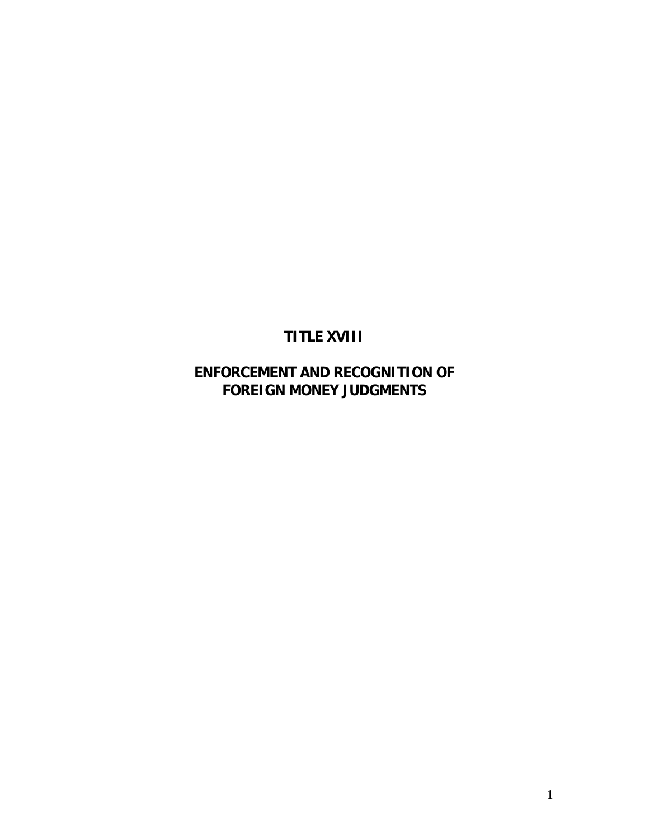# **TITLE XVIII**

## **ENFORCEMENT AND RECOGNITION OF FOREIGN MONEY JUDGMENTS**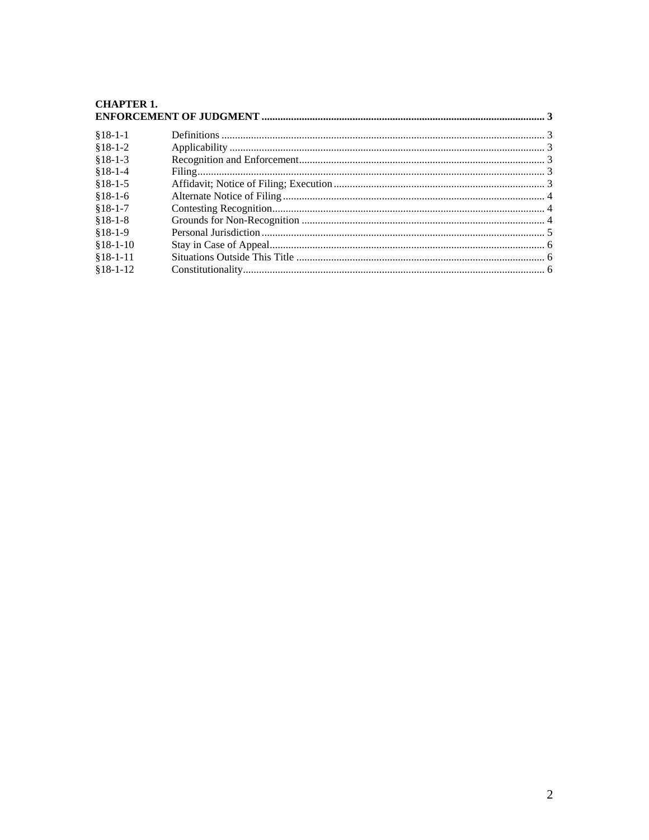#### **CHAPTER 1.** ENFORCEMENT OF HIDCMENT

| $§18-1-1$  |  |  |
|------------|--|--|
| $$18-1-2$  |  |  |
| $$18-1-3$  |  |  |
| $§18-1-4$  |  |  |
| $$18-1-5$  |  |  |
| $$18-1-6$  |  |  |
| $$18-1-7$  |  |  |
| $$18-1-8$  |  |  |
| $$18-1-9$  |  |  |
| $$18-1-10$ |  |  |
| $$18-1-11$ |  |  |
| $$18-1-12$ |  |  |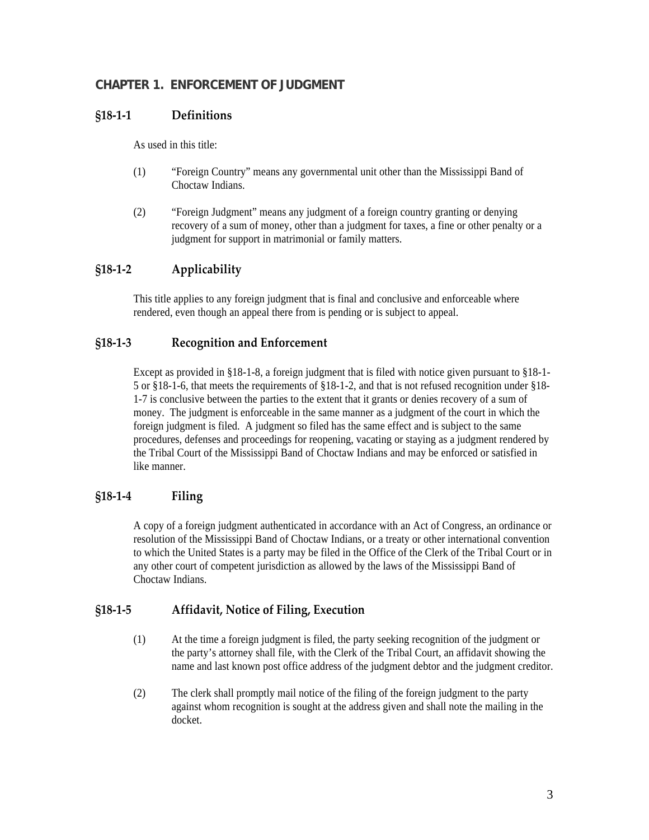#### <span id="page-2-0"></span>**CHAPTER 1. ENFORCEMENT OF JUDGMENT**

#### **§18‐1‐1 Definitions**

As used in this title:

- (1) "Foreign Country" means any governmental unit other than the Mississippi Band of Choctaw Indians.
- (2) "Foreign Judgment" means any judgment of a foreign country granting or denying recovery of a sum of money, other than a judgment for taxes, a fine or other penalty or a judgment for support in matrimonial or family matters.

### **§18‐1‐2 Applicability**

This title applies to any foreign judgment that is final and conclusive and enforceable where rendered, even though an appeal there from is pending or is subject to appeal.

#### **§18‐1‐3 Recognition and Enforcement**

Except as provided in §18-1-8, a foreign judgment that is filed with notice given pursuant to §18-1- 5 or §18-1-6, that meets the requirements of §18-1-2, and that is not refused recognition under §18- 1-7 is conclusive between the parties to the extent that it grants or denies recovery of a sum of money. The judgment is enforceable in the same manner as a judgment of the court in which the foreign judgment is filed. A judgment so filed has the same effect and is subject to the same procedures, defenses and proceedings for reopening, vacating or staying as a judgment rendered by the Tribal Court of the Mississippi Band of Choctaw Indians and may be enforced or satisfied in like manner.

#### **§18‐1‐4 Filing**

A copy of a foreign judgment authenticated in accordance with an Act of Congress, an ordinance or resolution of the Mississippi Band of Choctaw Indians, or a treaty or other international convention to which the United States is a party may be filed in the Office of the Clerk of the Tribal Court or in any other court of competent jurisdiction as allowed by the laws of the Mississippi Band of Choctaw Indians.

#### **§18‐1‐5 Affidavit, Notice of Filing, Execution**

- (1) At the time a foreign judgment is filed, the party seeking recognition of the judgment or the party's attorney shall file, with the Clerk of the Tribal Court, an affidavit showing the name and last known post office address of the judgment debtor and the judgment creditor.
- (2) The clerk shall promptly mail notice of the filing of the foreign judgment to the party against whom recognition is sought at the address given and shall note the mailing in the docket.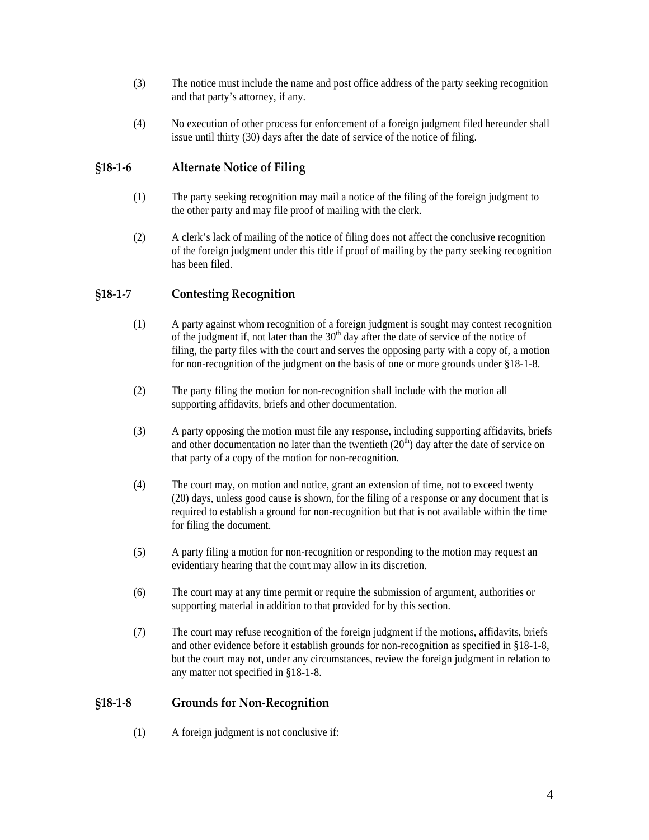- <span id="page-3-0"></span>(3) The notice must include the name and post office address of the party seeking recognition and that party's attorney, if any.
- (4) No execution of other process for enforcement of a foreign judgment filed hereunder shall issue until thirty (30) days after the date of service of the notice of filing.

#### **§18‐1‐6 Alternate Notice of Filing**

- (1) The party seeking recognition may mail a notice of the filing of the foreign judgment to the other party and may file proof of mailing with the clerk.
- (2) A clerk's lack of mailing of the notice of filing does not affect the conclusive recognition of the foreign judgment under this title if proof of mailing by the party seeking recognition has been filed.

#### **§18‐1‐7 Contesting Recognition**

- (1) A party against whom recognition of a foreign judgment is sought may contest recognition of the judgment if, not later than the  $30<sup>th</sup>$  day after the date of service of the notice of filing, the party files with the court and serves the opposing party with a copy of, a motion for non-recognition of the judgment on the basis of one or more grounds under §18-1-8.
- (2) The party filing the motion for non-recognition shall include with the motion all supporting affidavits, briefs and other documentation.
- (3) A party opposing the motion must file any response, including supporting affidavits, briefs and other documentation no later than the twentieth  $(20<sup>th</sup>)$  day after the date of service on that party of a copy of the motion for non-recognition.
- (4) The court may, on motion and notice, grant an extension of time, not to exceed twenty (20) days, unless good cause is shown, for the filing of a response or any document that is required to establish a ground for non-recognition but that is not available within the time for filing the document.
- (5) A party filing a motion for non-recognition or responding to the motion may request an evidentiary hearing that the court may allow in its discretion.
- (6) The court may at any time permit or require the submission of argument, authorities or supporting material in addition to that provided for by this section.
- (7) The court may refuse recognition of the foreign judgment if the motions, affidavits, briefs and other evidence before it establish grounds for non-recognition as specified in §18-1-8, but the court may not, under any circumstances, review the foreign judgment in relation to any matter not specified in §18-1-8.

#### **§18‐1‐8 Grounds for Non‐Recognition**

(1) A foreign judgment is not conclusive if: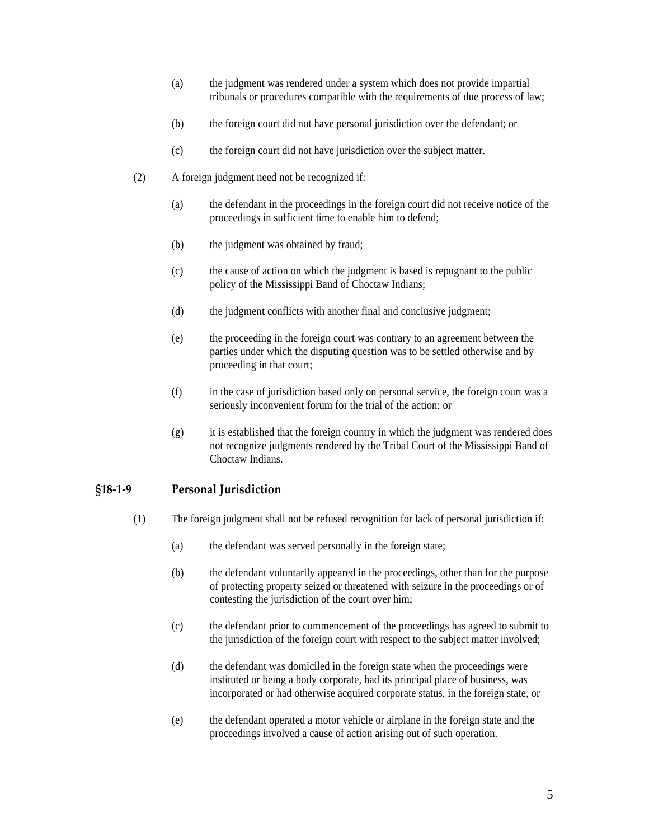- <span id="page-4-0"></span>(a) the judgment was rendered under a system which does not provide impartial tribunals or procedures compatible with the requirements of due process of law;
- (b) the foreign court did not have personal jurisdiction over the defendant; or
- (c) the foreign court did not have jurisdiction over the subject matter.
- (2) A foreign judgment need not be recognized if:
	- (a) the defendant in the proceedings in the foreign court did not receive notice of the proceedings in sufficient time to enable him to defend;
	- (b) the judgment was obtained by fraud;
	- (c) the cause of action on which the judgment is based is repugnant to the public policy of the Mississippi Band of Choctaw Indians;
	- (d) the judgment conflicts with another final and conclusive judgment;
	- (e) the proceeding in the foreign court was contrary to an agreement between the parties under which the disputing question was to be settled otherwise and by proceeding in that court;
	- (f) in the case of jurisdiction based only on personal service, the foreign court was a seriously inconvenient forum for the trial of the action; or
	- (g) it is established that the foreign country in which the judgment was rendered does not recognize judgments rendered by the Tribal Court of the Mississippi Band of Choctaw Indians.

#### **§18‐1‐9 Personal Jurisdiction**

- (1) The foreign judgment shall not be refused recognition for lack of personal jurisdiction if:
	- (a) the defendant was served personally in the foreign state;
	- (b) the defendant voluntarily appeared in the proceedings, other than for the purpose of protecting property seized or threatened with seizure in the proceedings or of contesting the jurisdiction of the court over him;
	- (c) the defendant prior to commencement of the proceedings has agreed to submit to the jurisdiction of the foreign court with respect to the subject matter involved;
	- (d) the defendant was domiciled in the foreign state when the proceedings were instituted or being a body corporate, had its principal place of business, was incorporated or had otherwise acquired corporate status, in the foreign state, or
	- (e) the defendant operated a motor vehicle or airplane in the foreign state and the proceedings involved a cause of action arising out of such operation.